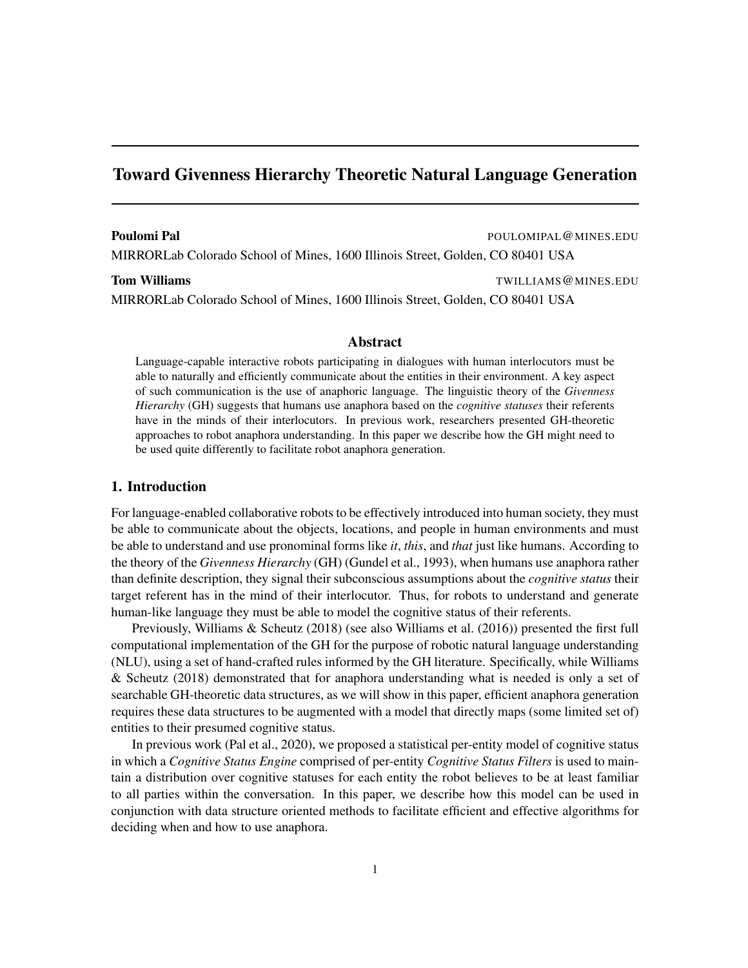# Toward Givenness Hierarchy Theoretic Natural Language Generation

#### Poulomi Pal **Poulomi Pal Poulomi Pal Poulomi Pal** Poulomi Pal Poulomi Pal Poulomi Pal Poulomi Pal Poulomi Pal Poulomi Pal Poulomi Pal Poulomi Pal Poulomi Pal Poulomi Pal Poulomi Pal Poulomi Pal Poulomi Pal Poulomi Pal Poul

MIRRORLab Colorado School of Mines, 1600 Illinois Street, Golden, CO 80401 USA

**Tom Williams** TWILLIAMS @ MINES.EDU

MIRRORLab Colorado School of Mines, 1600 Illinois Street, Golden, CO 80401 USA

## Abstract

Language-capable interactive robots participating in dialogues with human interlocutors must be able to naturally and efficiently communicate about the entities in their environment. A key aspect of such communication is the use of anaphoric language. The linguistic theory of the *Givenness Hierarchy* (GH) suggests that humans use anaphora based on the *cognitive statuses* their referents have in the minds of their interlocutors. In previous work, researchers presented GH-theoretic approaches to robot anaphora understanding. In this paper we describe how the GH might need to be used quite differently to facilitate robot anaphora generation.

### 1. Introduction

For language-enabled collaborative robots to be effectively introduced into human society, they must be able to communicate about the objects, locations, and people in human environments and must be able to understand and use pronominal forms like *it*, *this*, and *that* just like humans. According to the theory of the *Givenness Hierarchy* (GH) (Gundel et al., 1993), when humans use anaphora rather than definite description, they signal their subconscious assumptions about the *cognitive status* their target referent has in the mind of their interlocutor. Thus, for robots to understand and generate human-like language they must be able to model the cognitive status of their referents.

Previously, Williams & Scheutz (2018) (see also Williams et al. (2016)) presented the first full computational implementation of the GH for the purpose of robotic natural language understanding (NLU), using a set of hand-crafted rules informed by the GH literature. Specifically, while Williams & Scheutz (2018) demonstrated that for anaphora understanding what is needed is only a set of searchable GH-theoretic data structures, as we will show in this paper, efficient anaphora generation requires these data structures to be augmented with a model that directly maps (some limited set of) entities to their presumed cognitive status.

In previous work (Pal et al., 2020), we proposed a statistical per-entity model of cognitive status in which a *Cognitive Status Engine* comprised of per-entity *Cognitive Status Filters* is used to maintain a distribution over cognitive statuses for each entity the robot believes to be at least familiar to all parties within the conversation. In this paper, we describe how this model can be used in conjunction with data structure oriented methods to facilitate efficient and effective algorithms for deciding when and how to use anaphora.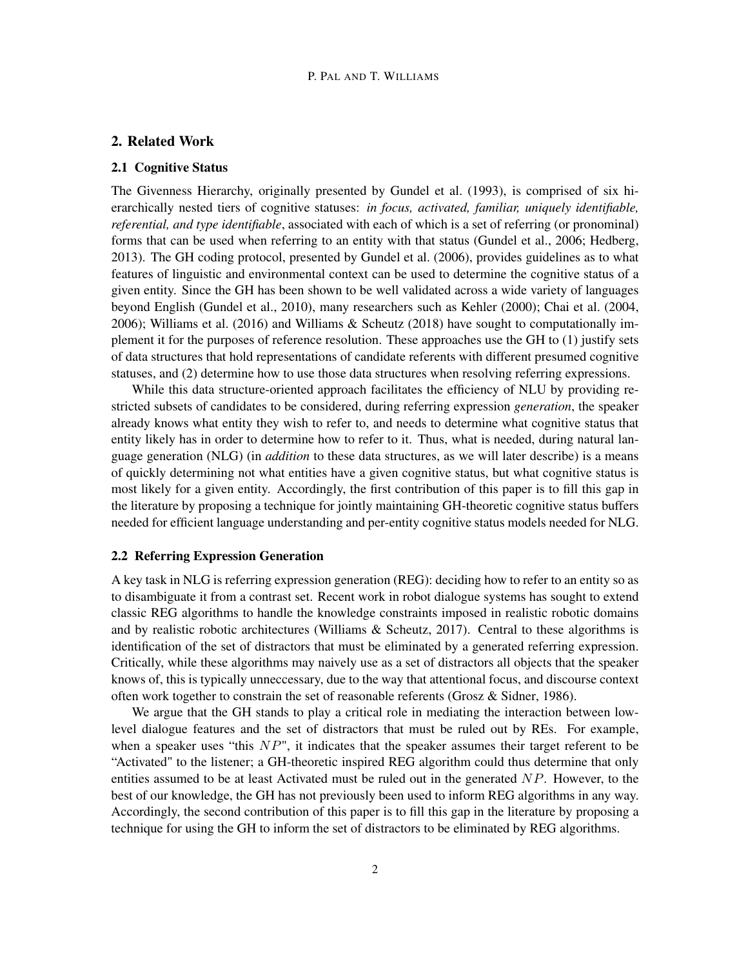### 2. Related Work

#### 2.1 Cognitive Status

The Givenness Hierarchy, originally presented by Gundel et al. (1993), is comprised of six hierarchically nested tiers of cognitive statuses: *in focus, activated, familiar, uniquely identifiable, referential, and type identifiable*, associated with each of which is a set of referring (or pronominal) forms that can be used when referring to an entity with that status (Gundel et al., 2006; Hedberg, 2013). The GH coding protocol, presented by Gundel et al. (2006), provides guidelines as to what features of linguistic and environmental context can be used to determine the cognitive status of a given entity. Since the GH has been shown to be well validated across a wide variety of languages beyond English (Gundel et al., 2010), many researchers such as Kehler (2000); Chai et al. (2004, 2006); Williams et al. (2016) and Williams & Scheutz (2018) have sought to computationally implement it for the purposes of reference resolution. These approaches use the GH to (1) justify sets of data structures that hold representations of candidate referents with different presumed cognitive statuses, and (2) determine how to use those data structures when resolving referring expressions.

While this data structure-oriented approach facilitates the efficiency of NLU by providing restricted subsets of candidates to be considered, during referring expression *generation*, the speaker already knows what entity they wish to refer to, and needs to determine what cognitive status that entity likely has in order to determine how to refer to it. Thus, what is needed, during natural language generation (NLG) (in *addition* to these data structures, as we will later describe) is a means of quickly determining not what entities have a given cognitive status, but what cognitive status is most likely for a given entity. Accordingly, the first contribution of this paper is to fill this gap in the literature by proposing a technique for jointly maintaining GH-theoretic cognitive status buffers needed for efficient language understanding and per-entity cognitive status models needed for NLG.

#### 2.2 Referring Expression Generation

A key task in NLG is referring expression generation (REG): deciding how to refer to an entity so as to disambiguate it from a contrast set. Recent work in robot dialogue systems has sought to extend classic REG algorithms to handle the knowledge constraints imposed in realistic robotic domains and by realistic robotic architectures (Williams  $\&$  Scheutz, 2017). Central to these algorithms is identification of the set of distractors that must be eliminated by a generated referring expression. Critically, while these algorithms may naively use as a set of distractors all objects that the speaker knows of, this is typically unneccessary, due to the way that attentional focus, and discourse context often work together to constrain the set of reasonable referents (Grosz & Sidner, 1986).

We argue that the GH stands to play a critical role in mediating the interaction between lowlevel dialogue features and the set of distractors that must be ruled out by REs. For example, when a speaker uses "this  $NP$ ", it indicates that the speaker assumes their target referent to be "Activated" to the listener; a GH-theoretic inspired REG algorithm could thus determine that only entities assumed to be at least Activated must be ruled out in the generated  $NP$ . However, to the best of our knowledge, the GH has not previously been used to inform REG algorithms in any way. Accordingly, the second contribution of this paper is to fill this gap in the literature by proposing a technique for using the GH to inform the set of distractors to be eliminated by REG algorithms.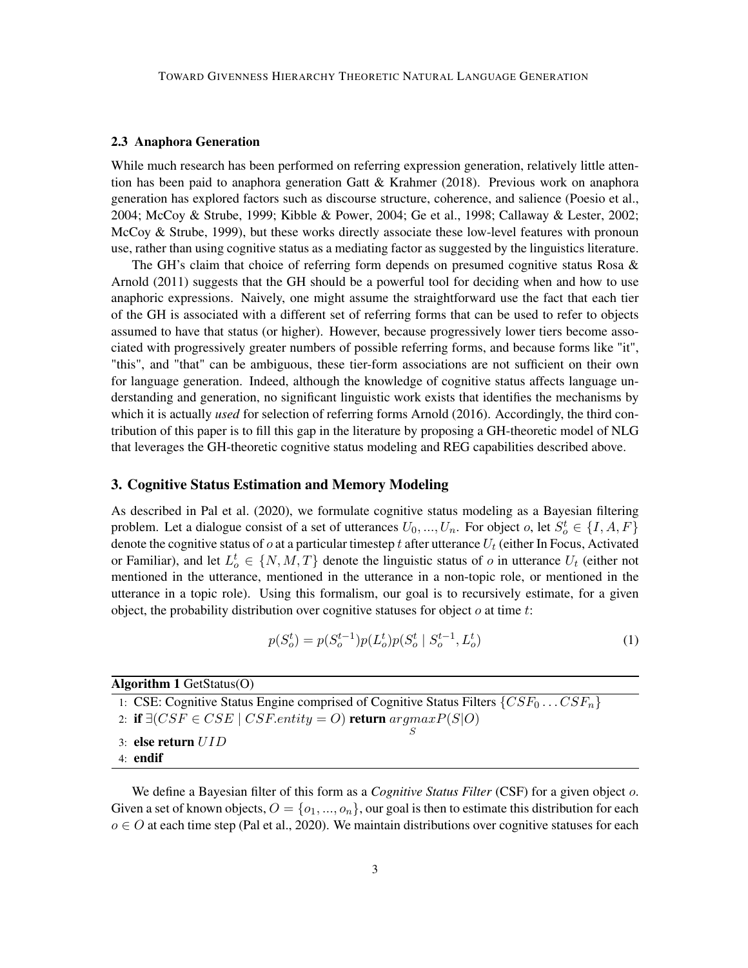#### 2.3 Anaphora Generation

While much research has been performed on referring expression generation, relatively little attention has been paid to anaphora generation Gatt & Krahmer (2018). Previous work on anaphora generation has explored factors such as discourse structure, coherence, and salience (Poesio et al., 2004; McCoy & Strube, 1999; Kibble & Power, 2004; Ge et al., 1998; Callaway & Lester, 2002; McCoy & Strube, 1999), but these works directly associate these low-level features with pronoun use, rather than using cognitive status as a mediating factor as suggested by the linguistics literature.

The GH's claim that choice of referring form depends on presumed cognitive status Rosa  $\&$ Arnold (2011) suggests that the GH should be a powerful tool for deciding when and how to use anaphoric expressions. Naively, one might assume the straightforward use the fact that each tier of the GH is associated with a different set of referring forms that can be used to refer to objects assumed to have that status (or higher). However, because progressively lower tiers become associated with progressively greater numbers of possible referring forms, and because forms like "it", "this", and "that" can be ambiguous, these tier-form associations are not sufficient on their own for language generation. Indeed, although the knowledge of cognitive status affects language understanding and generation, no significant linguistic work exists that identifies the mechanisms by which it is actually *used* for selection of referring forms Arnold (2016). Accordingly, the third contribution of this paper is to fill this gap in the literature by proposing a GH-theoretic model of NLG that leverages the GH-theoretic cognitive status modeling and REG capabilities described above.

#### 3. Cognitive Status Estimation and Memory Modeling

As described in Pal et al. (2020), we formulate cognitive status modeling as a Bayesian filtering problem. Let a dialogue consist of a set of utterances  $U_0, ..., U_n$ . For object  $o$ , let  $S_o^t \in \{I, A, F\}$ denote the cognitive status of  $o$  at a particular timestep t after utterance  $U_t$  (either In Focus, Activated or Familiar), and let  $L_o^t \in \{N, M, T\}$  denote the linguistic status of  $o$  in utterance  $U_t$  (either not mentioned in the utterance, mentioned in the utterance in a non-topic role, or mentioned in the utterance in a topic role). Using this formalism, our goal is to recursively estimate, for a given object, the probability distribution over cognitive statuses for object  $o$  at time  $t$ :

$$
p(S_o^t) = p(S_o^{t-1})p(L_o^t)p(S_o^t \mid S_o^{t-1}, L_o^t)
$$
\n<sup>(1)</sup>

Algorithm 1 GetStatus(O)

1: CSE: Cognitive Status Engine comprised of Cognitive Status Filters  $\{CSF_0 \dots CSF_n\}$ 

- 2: if  $\exists (CSF \in CSE \mid CSF. entity = O)$  return  $argmax P(S|O)$ S
- 3: else return UID
- 4: endif

We define a Bayesian filter of this form as a *Cognitive Status Filter* (CSF) for a given object o. Given a set of known objects,  $O = \{o_1, ..., o_n\}$ , our goal is then to estimate this distribution for each  $o \in O$  at each time step (Pal et al., 2020). We maintain distributions over cognitive statuses for each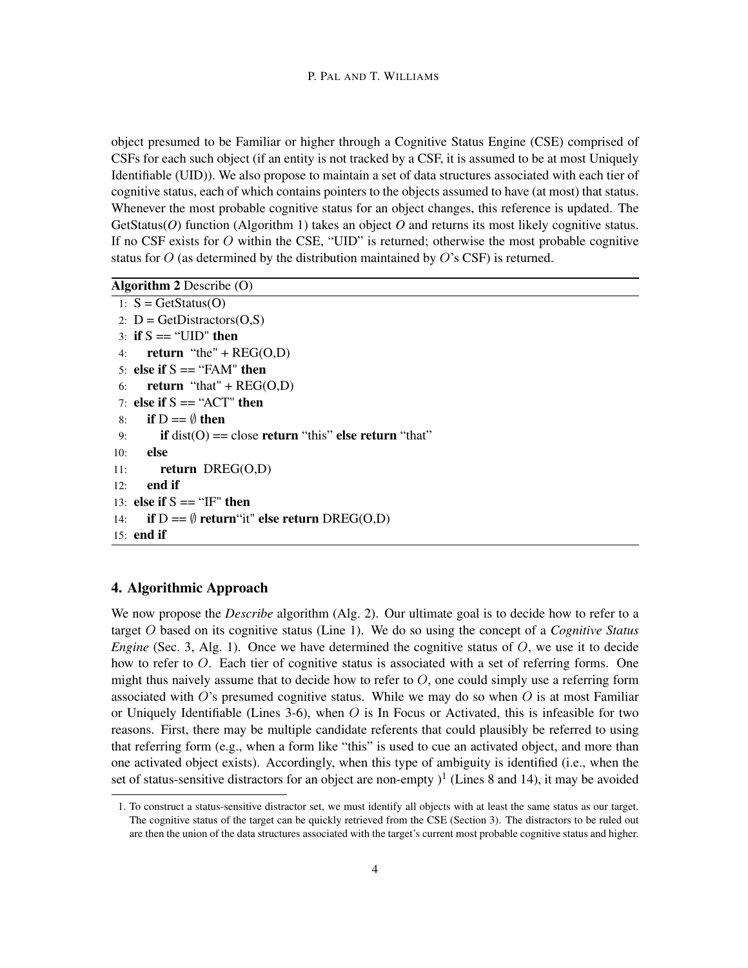object presumed to be Familiar or higher through a Cognitive Status Engine (CSE) comprised of CSFs for each such object (if an entity is not tracked by a CSF, it is assumed to be at most Uniquely Identifiable (UID)). We also propose to maintain a set of data structures associated with each tier of cognitive status, each of which contains pointers to the objects assumed to have (at most) that status. Whenever the most probable cognitive status for an object changes, this reference is updated. The GetStatus(*O*) function (Algorithm 1) takes an object *O* and returns its most likely cognitive status. If no CSF exists for  $O$  within the CSE, "UID" is returned; otherwise the most probable cognitive status for  $O$  (as determined by the distribution maintained by  $O$ 's CSF) is returned.

Algorithm 2 Describe (O)

```
1: S = GetStatus(O)2: D = \text{GetDistractors}(O, S)3: if S = \text{``UID''} then
4: return "the" + REG(O,D)5: else if S = \text{``FAM''} then
6: return "that" + REG(O,D)7: else if S = "ACT" then
8: if D = \emptyset then
9: if dist(O) == close return "this" else return "that"
10: else
11: return DREG(O,D)
12: end if
13: else if S = "IF" then
14: if D = \emptyset return it" else return DREG(O,D)
15: end if
```
## 4. Algorithmic Approach

We now propose the *Describe* algorithm (Alg. 2). Our ultimate goal is to decide how to refer to a target O based on its cognitive status (Line 1). We do so using the concept of a *Cognitive Status Engine* (Sec. 3, Alg. 1). Once we have determined the cognitive status of O, we use it to decide how to refer to O. Each tier of cognitive status is associated with a set of referring forms. One might thus naively assume that to decide how to refer to  $O$ , one could simply use a referring form associated with  $O$ 's presumed cognitive status. While we may do so when  $O$  is at most Familiar or Uniquely Identifiable (Lines 3-6), when  $O$  is In Focus or Activated, this is infeasible for two reasons. First, there may be multiple candidate referents that could plausibly be referred to using that referring form (e.g., when a form like "this" is used to cue an activated object, and more than one activated object exists). Accordingly, when this type of ambiguity is identified (i.e., when the set of status-sensitive distractors for an object are non-empty  $)^{1}$  (Lines 8 and 14), it may be avoided

<sup>1.</sup> To construct a status-sensitive distractor set, we must identify all objects with at least the same status as our target. The cognitive status of the target can be quickly retrieved from the CSE (Section 3). The distractors to be ruled out are then the union of the data structures associated with the target's current most probable cognitive status and higher.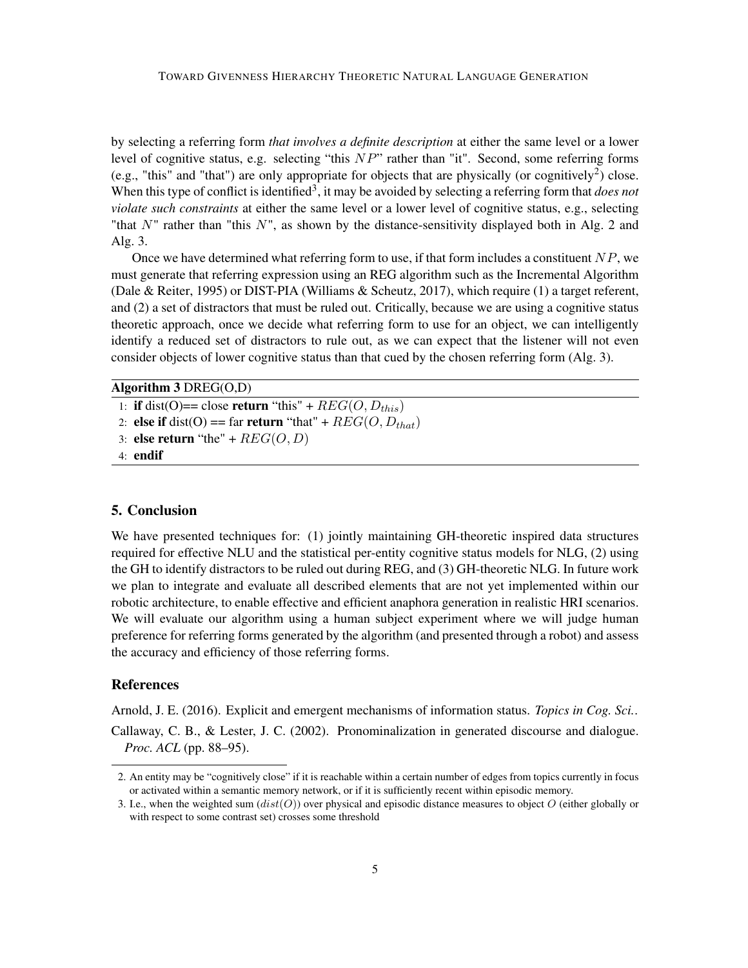by selecting a referring form *that involves a definite description* at either the same level or a lower level of cognitive status, e.g. selecting "this  $NP$ " rather than "it". Second, some referring forms (e.g., "this" and "that") are only appropriate for objects that are physically (or cognitively<sup>2</sup>) close. When this type of conflict is identified<sup>3</sup>, it may be avoided by selecting a referring form that *does not violate such constraints* at either the same level or a lower level of cognitive status, e.g., selecting "that  $N$ " rather than "this  $N$ ", as shown by the distance-sensitivity displayed both in Alg. 2 and Alg. 3.

Once we have determined what referring form to use, if that form includes a constituent  $NP$ , we must generate that referring expression using an REG algorithm such as the Incremental Algorithm (Dale & Reiter, 1995) or DIST-PIA (Williams & Scheutz, 2017), which require (1) a target referent, and (2) a set of distractors that must be ruled out. Critically, because we are using a cognitive status theoretic approach, once we decide what referring form to use for an object, we can intelligently identify a reduced set of distractors to rule out, as we can expect that the listener will not even consider objects of lower cognitive status than that cued by the chosen referring form (Alg. 3).

### Algorithm 3 DREG(O,D)

- 1: if dist(O)== close return "this" +  $REG(O, D_{this})$
- 2: else if dist(O) == far return "that" +  $REG(O, D_{that})$
- 3: else return "the" +  $REG(O, D)$
- 4: endif

## 5. Conclusion

We have presented techniques for: (1) jointly maintaining GH-theoretic inspired data structures required for effective NLU and the statistical per-entity cognitive status models for NLG, (2) using the GH to identify distractors to be ruled out during REG, and (3) GH-theoretic NLG. In future work we plan to integrate and evaluate all described elements that are not yet implemented within our robotic architecture, to enable effective and efficient anaphora generation in realistic HRI scenarios. We will evaluate our algorithm using a human subject experiment where we will judge human preference for referring forms generated by the algorithm (and presented through a robot) and assess the accuracy and efficiency of those referring forms.

## References

Arnold, J. E. (2016). Explicit and emergent mechanisms of information status. *Topics in Cog. Sci.*. Callaway, C. B., & Lester, J. C. (2002). Pronominalization in generated discourse and dialogue. *Proc. ACL* (pp. 88–95).

<sup>2.</sup> An entity may be "cognitively close" if it is reachable within a certain number of edges from topics currently in focus or activated within a semantic memory network, or if it is sufficiently recent within episodic memory.

<sup>3.</sup> I.e., when the weighted sum  $(dist(O))$  over physical and episodic distance measures to object O (either globally or with respect to some contrast set) crosses some threshold